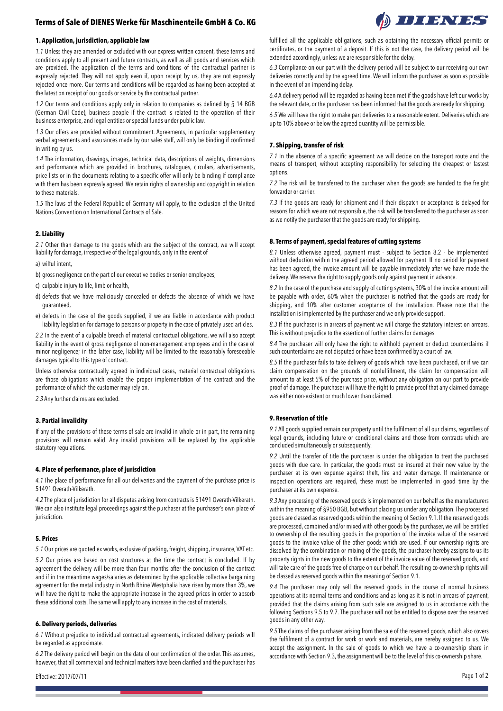# **Terms of Sale of DIENES Werke für Maschinenteile GmbH & Co. KG**



*1.1* Unless they are amended or excluded with our express written consent, these terms and conditions apply to all present and future contracts, as well as all goods and services which are provided. The application of the terms and conditions of the contractual partner is expressly rejected. They will not apply even if, upon receipt by us, they are not expressly rejected once more. Our terms and conditions will be regarded as having been accepted at the latest on receipt of our goods or service by the contractual partner.

*1.2* Our terms and conditions apply only in relation to companies as defined by § 14 BGB (German Civil Code), business people if the contract is related to the operation of their business enterprise, and legal entities or special funds under public law.

*1.3* Our offers are provided without commitment. Agreements, in particular supplementary verbal agreements and assurances made by our sales staff, will only be binding if confirmed in writing by us.

*1.4* The information, drawings, images, technical data, descriptions of weights, dimensions and performance which are provided in brochures, catalogues, circulars, advertisements, price lists or in the documents relating to a specific offer will only be binding if compliance with them has been expressly agreed. We retain rights of ownership and copyright in relation to these materials.

*1.5* The laws of the Federal Republic of Germany will apply, to the exclusion of the United Nations Convention on International Contracts of Sale.

## **2. Liability**

*2.1* Other than damage to the goods which are the subject of the contract, we will accept liability for damage, irrespective of the legal grounds, only in the event of

a) wilful intent,

b) gross negligence on the part of our executive bodies or senior employees,

c) culpable injury to life, limb or health,

- d) defects that we have maliciously concealed or defects the absence of which we have guaranteed,
- e) defects in the case of the goods supplied, if we are liable in accordance with product liability legislation for damage to persons or property in the case of privately used articles.

*2.2* In the event of a culpable breach of material contractual obligations, we will also accept liability in the event of gross negligence of non-management employees and in the case of minor negligence; in the latter case, liability will be limited to the reasonably foreseeable damages typical to this type of contract.

Unless otherwise contractually agreed in individual cases, material contractual obligations are those obligations which enable the proper implementation of the contract and the performance of which the customer may rely on.

*2.3* Any further claims are excluded.

## **3. Partial invalidity**

If any of the provisions of these terms of sale are invalid in whole or in part, the remaining provisions will remain valid. Any invalid provisions will be replaced by the applicable statutory regulations.

#### **4. Place of performance, place of jurisdiction**

*4.1* The place of performance for all our deliveries and the payment of the purchase price is 51491 Overath-Vilkerath.

*4.2* The place of jurisdiction for all disputes arising from contracts is 51491 Overath-Vilkerath. We can also institute legal proceedings against the purchaser at the purchaser's own place of jurisdiction.

## **5. Prices**

*5.1* Our prices are quoted ex works, exclusive of packing, freight, shipping, insurance, VAT etc.

*5.2* Our prices are based on cost structures at the time the contract is concluded. If by agreement the delivery will be more than four months after the conclusion of the contract and if in the meantime wages/salaries as determined by the applicable collective bargaining agreement for the metal industry in North Rhine Westphalia have risen by more than 3%, we will have the right to make the appropriate increase in the agreed prices in order to absorb these additional costs. The same will apply to any increase in the cost of materials.

#### **6. Delivery periods, deliveries**

*6.1* Without prejudice to individual contractual agreements, indicated delivery periods will be regarded as approximate.

*6.2* The delivery period will begin on the date of our confirmation of the order. This assumes, however, that all commercial and technical matters have been clarified and the purchaser has fulfilled all the applicable obligations, such as obtaining the necessary official permits or certificates, or the payment of a deposit. If this is not the case, the delivery period will be extended accordingly, unless we are responsible for the delay.

*6.3* Compliance on our part with the delivery period will be subject to our receiving our own deliveries correctly and by the agreed time. We will inform the purchaser as soon as possible in the event of an impending delay.

*6.4* A delivery period will be regarded as having been met if the goods have left our works by the relevant date, or the purchaser has been informed that the goods are ready for shipping.

*6.5* We will have the right to make part deliveries to a reasonable extent. Deliveries which are up to 10% above or below the agreed quantity will be permissible.

#### **7. Shipping, transfer of risk**

*7.1* In the absence of a specific agreement we will decide on the transport route and the means of transport, without accepting responsibility for selecting the cheapest or fastest options.

*7.2* The risk will be transferred to the purchaser when the goods are handed to the freight forwarder or carrier.

*7.3* If the goods are ready for shipment and if their dispatch or acceptance is delayed for reasons for which we are not responsible, the risk will be transferred to the purchaser as soon as we notify the purchaser that the goods are ready for shipping.

#### **8. Terms of payment, special features of cutting systems**

*8.1* Unless otherwise agreed, payment must - subject to Section 8.2 - be implemented without deduction within the agreed period allowed for payment. If no period for payment has been agreed, the invoice amount will be payable immediately after we have made the delivery. We reserve the right to supply goods only against payment in advance.

*8.2* In the case of the purchase and supply of cutting systems, 30% of the invoice amount will be payable with order, 60% when the purchaser is notified that the goods are ready for shipping, and 10% after customer acceptance of the installation. Please note that the installation is implemented by the purchaser and we only provide support.

*8.3* If the purchaser is in arrears of payment we will charge the statutory interest on arrears. This is without prejudice to the assertion of further claims for damages.

*8.4* The purchaser will only have the right to withhold payment or deduct counterclaims if such counterclaims are not disputed or have been confirmed by a court of law.

*8.5* If the purchaser fails to take delivery of goods which have been purchased, or if we can claim compensation on the grounds of nonfulfillment, the claim for compensation will amount to at least 5% of the purchase price, without any obligation on our part to provide proof of damage. The purchaser will have the right to provide proof that any claimed damage was either non-existent or much lower than claimed.

#### **9. Reservation of title**

*9.1* All goods supplied remain our property until the fulfilment of all our claims, regardless of legal grounds, including future or conditional claims and those from contracts which are concluded simultaneously or subsequently.

*9.2* Until the transfer of title the purchaser is under the obligation to treat the purchased goods with due care. In particular, the goods must be insured at their new value by the purchaser at its own expense against theft, fire and water damage. If maintenance or inspection operations are required, these must be implemented in good time by the purchaser at its own expense.

*9.3* Any processing of the reserved goods is implemented on our behalf as the manufacturers within the meaning of §950 BGB, but without placing us under any obligation. The processed goods are classed as reserved goods within the meaning of Section 9.1. If the reserved goods are processed, combined and/or mixed with other goods by the purchaser, we will be entitled to ownership of the resulting goods in the proportion of the invoice value of the reserved goods to the invoice value of the other goods which are used. If our ownership rights are dissolved by the combination or mixing of the goods, the purchaser hereby assigns to us its property rights in the new goods to the extent of the invoice value of the reserved goods, and will take care of the goods free of charge on our behalf. The resulting co-ownership rights will be classed as reserved goods within the meaning of Section 9.1.

*9.4* The purchaser may only sell the reserved goods in the course of normal business operations at its normal terms and conditions and as long as it is not in arrears of payment, provided that the claims arising from such sale are assigned to us in accordance with the following Sections 9.5 to 9.7. The purchaser will not be entitled to dispose over the reserved goods in any other way.

*9.5* The claims of the purchaser arising from the sale of the reserved goods, which also covers the fulfilment of a contract for work or work and materials, are hereby assigned to us. We accept the assignment. In the sale of goods to which we have a co-ownership share in accordance with Section 9.3, the assignment will be to the level of this co-ownership share.